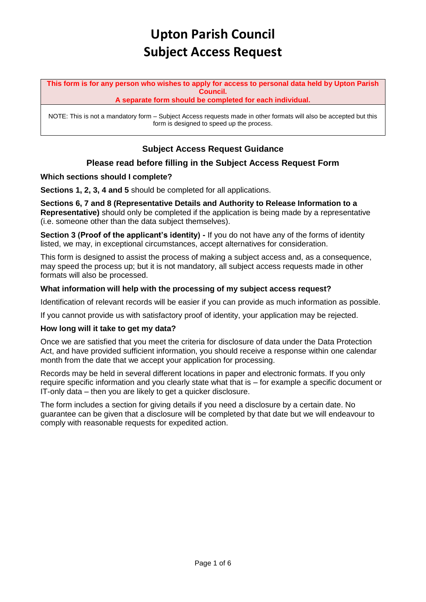**This form is for any person who wishes to apply for access to personal data held by Upton Parish Council.**

**A separate form should be completed for each individual.**

NOTE: This is not a mandatory form – Subject Access requests made in other formats will also be accepted but this form is designed to speed up the process.

# **Subject Access Request Guidance**

### **Please read before filling in the Subject Access Request Form**

### **Which sections should I complete?**

**Sections 1, 2, 3, 4 and 5** should be completed for all applications.

**Sections 6, 7 and 8 (Representative Details and Authority to Release Information to a Representative)** should only be completed if the application is being made by a representative (i.e. someone other than the data subject themselves).

**Section 3 (Proof of the applicant's identity) -** If you do not have any of the forms of identity listed, we may, in exceptional circumstances, accept alternatives for consideration.

This form is designed to assist the process of making a subject access and, as a consequence, may speed the process up; but it is not mandatory, all subject access requests made in other formats will also be processed.

### **What information will help with the processing of my subject access request?**

Identification of relevant records will be easier if you can provide as much information as possible.

If you cannot provide us with satisfactory proof of identity, your application may be rejected.

### **How long will it take to get my data?**

Once we are satisfied that you meet the criteria for disclosure of data under the Data Protection Act, and have provided sufficient information, you should receive a response within one calendar month from the date that we accept your application for processing.

Records may be held in several different locations in paper and electronic formats. If you only require specific information and you clearly state what that is – for example a specific document or IT-only data – then you are likely to get a quicker disclosure.

The form includes a section for giving details if you need a disclosure by a certain date. No guarantee can be given that a disclosure will be completed by that date but we will endeavour to comply with reasonable requests for expedited action.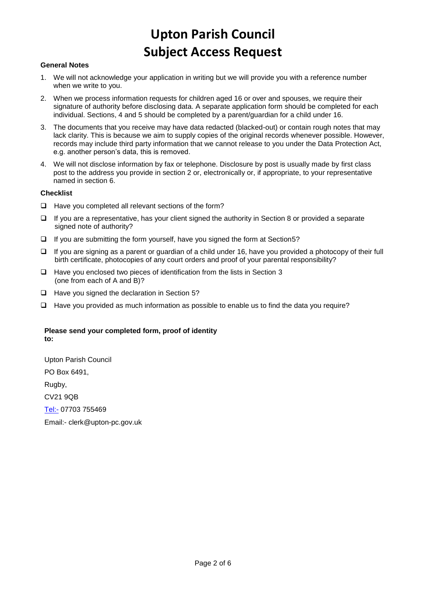#### **General Notes**

- 1. We will not acknowledge your application in writing but we will provide you with a reference number when we write to you.
- 2. When we process information requests for children aged 16 or over and spouses, we require their signature of authority before disclosing data. A separate application form should be completed for each individual. Sections, 4 and 5 should be completed by a parent/guardian for a child under 16.
- 3. The documents that you receive may have data redacted (blacked-out) or contain rough notes that may lack clarity. This is because we aim to supply copies of the original records whenever possible. However, records may include third party information that we cannot release to you under the Data Protection Act, e.g. another person's data, this is removed.
- 4. We will not disclose information by fax or telephone. Disclosure by post is usually made by first class post to the address you provide in section 2 or, electronically or, if appropriate, to your representative named in section 6.

#### **Checklist**

- ❑ Have you completed all relevant sections of the form?
- ❑ If you are a representative, has your client signed the authority in Section 8 or provided a separate signed note of authority?
- ❑ If you are submitting the form yourself, have you signed the form at Section5?
- ❑ If you are signing as a parent or guardian of a child under 16, have you provided a photocopy of their full birth certificate, photocopies of any court orders and proof of your parental responsibility?
- ❑ Have you enclosed two pieces of identification from the lists in Section 3 (one from each of A and B)?
- ❑ Have you signed the declaration in Section 5?
- ❑ Have you provided as much information as possible to enable us to find the data you require?

#### **Please send your completed form, proof of identity to:**

Upton Parish Council PO Box 6491, Rugby, CV21 9QB [Tel:-](tel:-) 07703 755469 Email:- clerk@upton-pc.gov.uk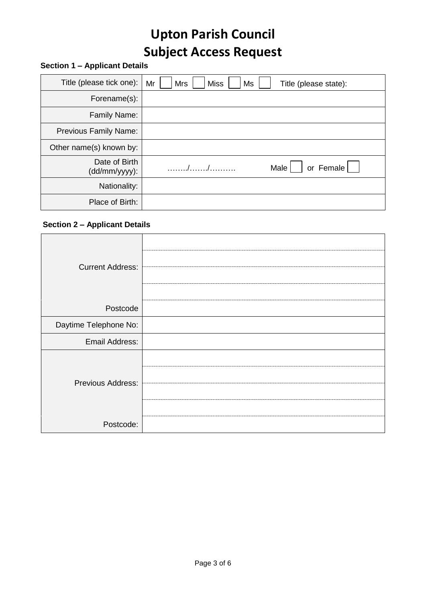# **Section 1 – Applicant Details**

| Title (please tick one):       | Mr<br>Mrs<br><b>Miss</b><br>Ms<br>Title (please state): |
|--------------------------------|---------------------------------------------------------|
| Forename(s):                   |                                                         |
| Family Name:                   |                                                         |
| <b>Previous Family Name:</b>   |                                                         |
| Other name(s) known by:        |                                                         |
| Date of Birth<br>(dd/mm/yyyy): | or Female<br>Male                                       |
| Nationality:                   |                                                         |
| Place of Birth:                |                                                         |

# **Section 2 – Applicant Details**

| <b>Current Address:</b> |  |
|-------------------------|--|
| Postcode                |  |
| Daytime Telephone No:   |  |
| Email Address:          |  |
| Previous Address:       |  |
| Postcode:               |  |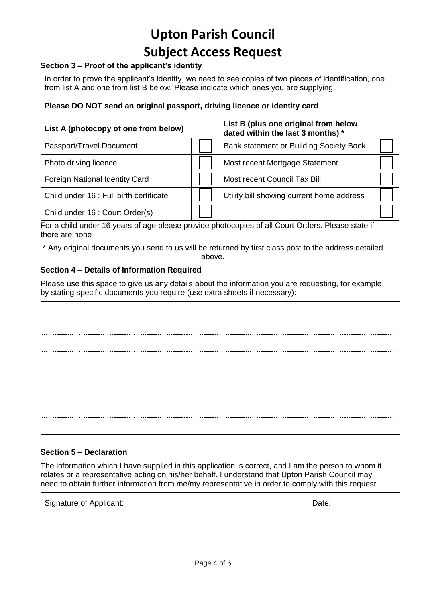# **Section 3 – Proof of the applicant's identity**

In order to prove the applicant's identity, we need to see copies of two pieces of identification, one from list A and one from list B below. Please indicate which ones you are supplying.

## **Please DO NOT send an original passport, driving licence or identity card**

| List A (photocopy of one from below)    | List B (plus one original from below<br>dated within the last 3 months) * |  |
|-----------------------------------------|---------------------------------------------------------------------------|--|
| Passport/Travel Document                | Bank statement or Building Society Book                                   |  |
| Photo driving licence                   | Most recent Mortgage Statement                                            |  |
| Foreign National Identity Card          | Most recent Council Tax Bill                                              |  |
| Child under 16 : Full birth certificate | Utility bill showing current home address                                 |  |
| Child under 16 : Court Order(s)         |                                                                           |  |

For a child under 16 years of age please provide photocopies of all Court Orders. Please state if there are none

\* Any original documents you send to us will be returned by first class post to the address detailed

#### above.

### **Section 4 – Details of Information Required**

Please use this space to give us any details about the information you are requesting, for example by stating specific documents you require (use extra sheets if necessary):

### **Section 5 – Declaration**

The information which I have supplied in this application is correct, and I am the person to whom it relates or a representative acting on his/her behalf. I understand that Upton Parish Council may need to obtain further information from me/my representative in order to comply with this request.

| Signature of Applicant: | Date: |
|-------------------------|-------|
|-------------------------|-------|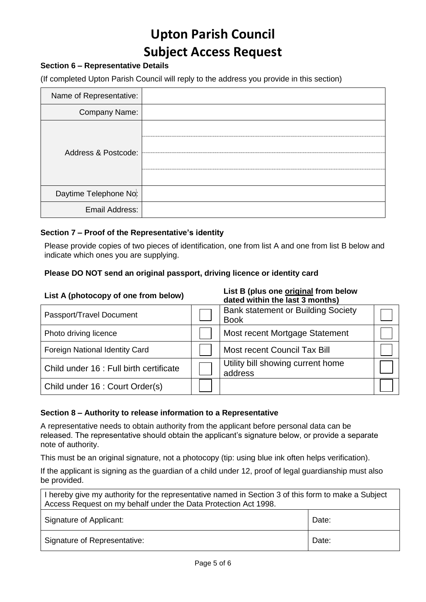# **Section 6 – Representative Details**

(If completed Upton Parish Council will reply to the address you provide in this section)

| Name of Representative: |  |
|-------------------------|--|
| Company Name:           |  |
| Address & Postcode:     |  |
| Daytime Telephone No:   |  |
| Email Address:          |  |

### **Section 7 – Proof of the Representative's identity**

Please provide copies of two pieces of identification, one from list A and one from list B below and indicate which ones you are supplying.

### **Please DO NOT send an original passport, driving licence or identity card**

#### **List A (photocopy of one from below) List B (plus one original from below dated within the last 3 months)**

| ualtu willilli liit iasl 9 illullillis)   |         |
|-------------------------------------------|---------|
| <b>Bank statement or Building Society</b> |         |
| <b>Book</b>                               |         |
| Most recent Mortgage Statement            |         |
| Most recent Council Tax Bill              |         |
| Utility bill showing current home         |         |
|                                           |         |
|                                           |         |
|                                           | address |

### **Section 8 – Authority to release information to a Representative**

A representative needs to obtain authority from the applicant before personal data can be released. The representative should obtain the applicant's signature below, or provide a separate note of authority.

This must be an original signature, not a photocopy (tip: using blue ink often helps verification).

If the applicant is signing as the guardian of a child under 12, proof of legal guardianship must also be provided.

| I hereby give my authority for the representative named in Section 3 of this form to make a Subject<br>Access Request on my behalf under the Data Protection Act 1998. |  |
|------------------------------------------------------------------------------------------------------------------------------------------------------------------------|--|
| Signature of Applicant:<br>Date:                                                                                                                                       |  |
| Signature of Representative:<br>Date:                                                                                                                                  |  |